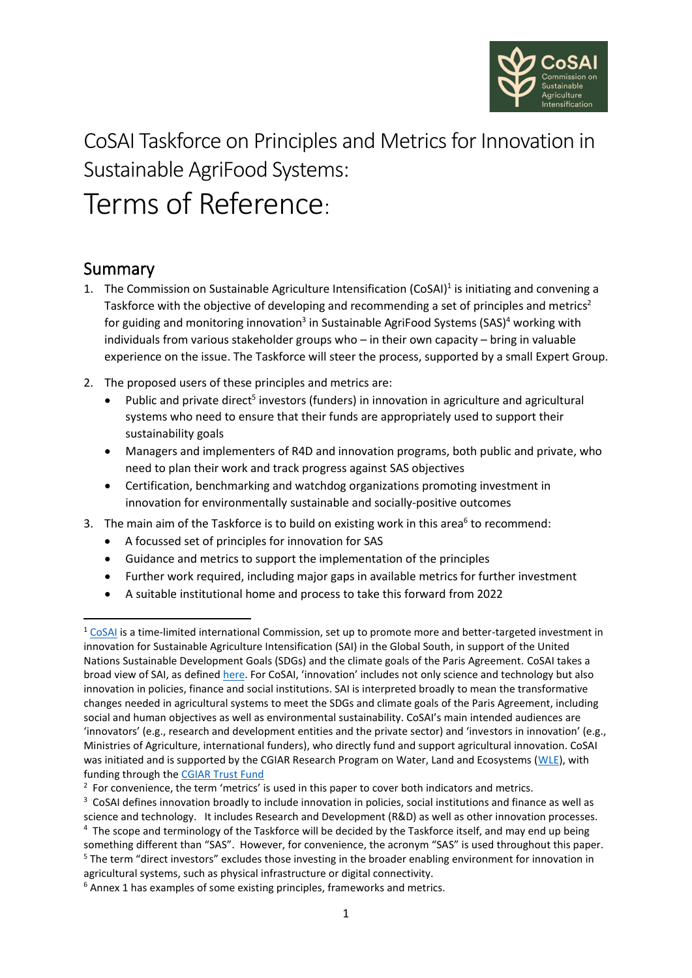

# CoSAI Taskforce on Principles and Metrics for Innovation in Sustainable AgriFood Systems: Terms of Reference:

#### Summary

- <span id="page-0-1"></span>1. The Commission on Sustainable Agriculture Intensification (CoSAI)<sup>1</sup> is initiating and convening a Taskforce with the objective of developing and recommending a set of principles and metrics<sup>2</sup> for guiding and monitoring innovation<sup>3</sup> in Sustainable AgriFood Systems (SAS)<sup>4</sup> working with individuals from various stakeholder groups who – in their own capacity – bring in valuable experience on the issue. The Taskforce will steer the process, supported by a small Expert Group.
- <span id="page-0-0"></span>2. The proposed users of these principles and metrics are:
	- Public and private direct<sup>5</sup> investors (funders) in innovation in agriculture and agricultural systems who need to ensure that their funds are appropriately used to support their sustainability goals
	- Managers and implementers of R4D and innovation programs, both public and private, who need to plan their work and track progress against SAS objectives
	- Certification, benchmarking and watchdog organizations promoting investment in innovation for environmentally sustainable and socially-positive outcomes
- 3. The main aim of the Taskforce is to build on existing work in this area<sup>6</sup> to recommend:
	- A focussed set of principles for innovation for SAS
	- Guidance and metrics to support the implementation of the principles
	- Further work required, including major gaps in available metrics for further investment
	- A suitable institutional home and process to take this forward from 2022

 $1$  [CoSAI](https://wle.cgiar.org/cosai/) is a time-limited international Commission, set up to promote more and better-targeted investment in innovation for Sustainable Agriculture Intensification (SAI) in the Global South, in support of the United Nations Sustainable Development Goals (SDGs) and the climate goals of the Paris Agreement. CoSAI takes a [broad view of SAI,](about:blank) as defined [here.](https://wle.cgiar.org/cosai/frequently-asked-questions) For CoSAI, 'innovation' includes not only science and technology but also innovation in policies, finance and social institutions. SAI is interpreted broadly to mean the transformative changes needed in agricultural systems to meet the SDGs and climate goals of the Paris Agreement, including social and human objectives as well as environmental sustainability. CoSAI's main intended audiences are 'innovators' (e.g., research and development entities and the private sector) and 'investors in innovation' (e.g., Ministries of Agriculture, international funders), who directly fund and support agricultural innovation. CoSAI was initiated and is supported by the CGIAR Research Program on Water, Land and Ecosystems [\(WLE\)](https://wle.cgiar.org/), with funding through the [CGIAR Trust Fund](https://www.cgiar.org/funders/trust-fund/)

 $2$  For convenience, the term 'metrics' is used in this paper to cover both indicators and metrics.

<sup>&</sup>lt;sup>3</sup> CoSAI defines innovation broadly to include innovation in policies, social institutions and finance as well as science and technology. It includes Research and Development (R&D) as well as other innovation processes. <sup>4</sup> The scope and terminology of the Taskforce will be decided by the Taskforce itself, and may end up being something different than "SAS". However, for convenience, the acronym "SAS" is used throughout this paper. <sup>5</sup> The term "direct investors" excludes those investing in the broader enabling environment for innovation in agricultural systems, such as physical infrastructure or digital connectivity.

<sup>&</sup>lt;sup>6</sup> Annex 1 has examples of some existing principles, frameworks and metrics.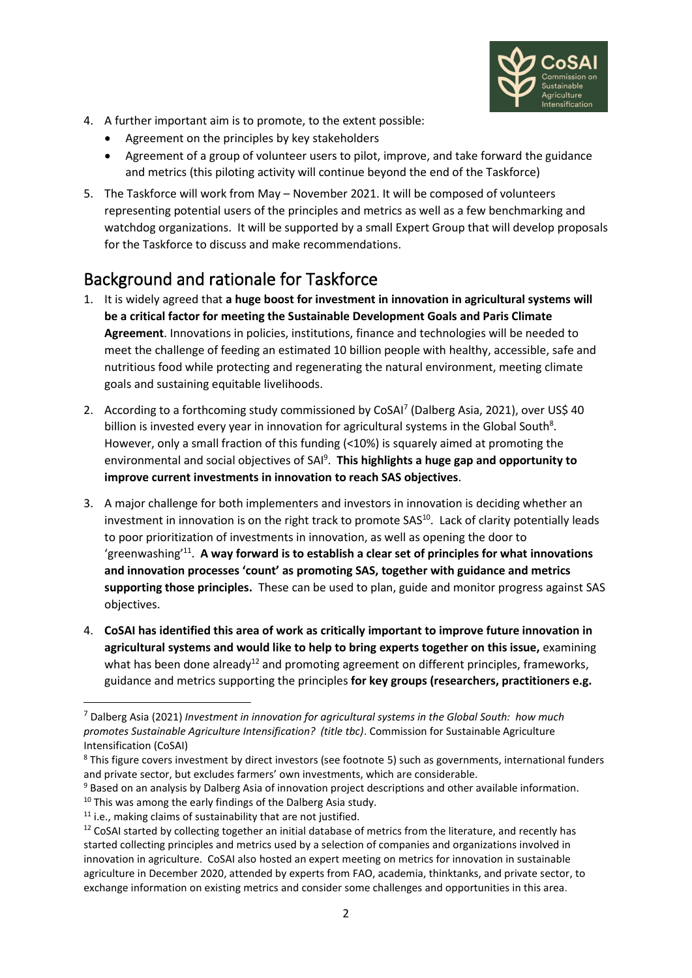

- 4. A further important aim is to promote, to the extent possible:
	- Agreement on the principles by key stakeholders
	- Agreement of a group of volunteer users to pilot, improve, and take forward the guidance and metrics (this piloting activity will continue beyond the end of the Taskforce)
- 5. The Taskforce will work from May November 2021. It will be composed of volunteers representing potential users of the principles and metrics as well as a few benchmarking and watchdog organizations. It will be supported by a small Expert Group that will develop proposals for the Taskforce to discuss and make recommendations.

### Background and rationale for Taskforce

- 1. It is widely agreed that **a huge boost for investment in innovation in agricultural systems will be a critical factor for meeting the Sustainable Development Goals and Paris Climate Agreement**. Innovations in policies, institutions, finance and technologies will be needed to meet the challenge of feeding an estimated 10 billion people with healthy, accessible, safe and nutritious food while protecting and regenerating the natural environment, meeting climate goals and sustaining equitable livelihoods.
- 2. According to a forthcoming study commissioned by CoSAI<sup>7</sup> (Dalberg Asia, 2021), over US\$ 40 billion is invested every year in innovation for agricultural systems in the Global South<sup>8</sup>. However, only a small fraction of this funding (<10%) is squarely aimed at promoting the environmental and social objectives of SAI<sup>9</sup>. This highlights a huge gap and opportunity to **improve current investments in innovation to reach SAS objectives**.
- 3. A major challenge for both implementers and investors in innovation is deciding whether an investment in innovation is on the right track to promote SAS<sup>10</sup>. Lack of clarity potentially leads to poor prioritization of investments in innovation, as well as opening the door to 'greenwashing<sup>'11</sup>. A way forward is to establish a clear set of principles for what innovations **and innovation processes 'count' as promoting SAS, together with guidance and metrics supporting those principles.** These can be used to plan, guide and monitor progress against SAS objectives.
- 4. **CoSAI has identified this area of work as critically important to improve future innovation in agricultural systems and would like to help to bring experts together on this issue,** examining what has been done already<sup>12</sup> and promoting agreement on different principles, frameworks, guidance and metrics supporting the principles **for key groups (researchers, practitioners e.g.**

<sup>7</sup> Dalberg Asia (2021) *Investment in innovation for agricultural systems in the Global South: how much promotes Sustainable Agriculture Intensification? (title tbc)*. Commission for Sustainable Agriculture Intensification (CoSAI)

<sup>8</sup> This figure covers investment by direct investors (see footnote [5\)](#page-0-0) such as governments, international funders and private sector, but excludes farmers' own investments, which are considerable.

<sup>&</sup>lt;sup>9</sup> Based on an analysis by Dalberg Asia of innovation project descriptions and other available information.

 $10$  This was among the early findings of the Dalberg Asia study.

<sup>&</sup>lt;sup>11</sup> i.e., making claims of sustainability that are not justified.

 $12$  CoSAI started by collecting together an initial database of metrics from the literature, and recently has started collecting principles and metrics used by a selection of companies and organizations involved in innovation in agriculture. CoSAI also hosted an expert meeting on metrics for innovation in sustainable agriculture in December 2020, attended by experts from FAO, academia, thinktanks, and private sector, to exchange information on existing metrics and consider some challenges and opportunities in this area.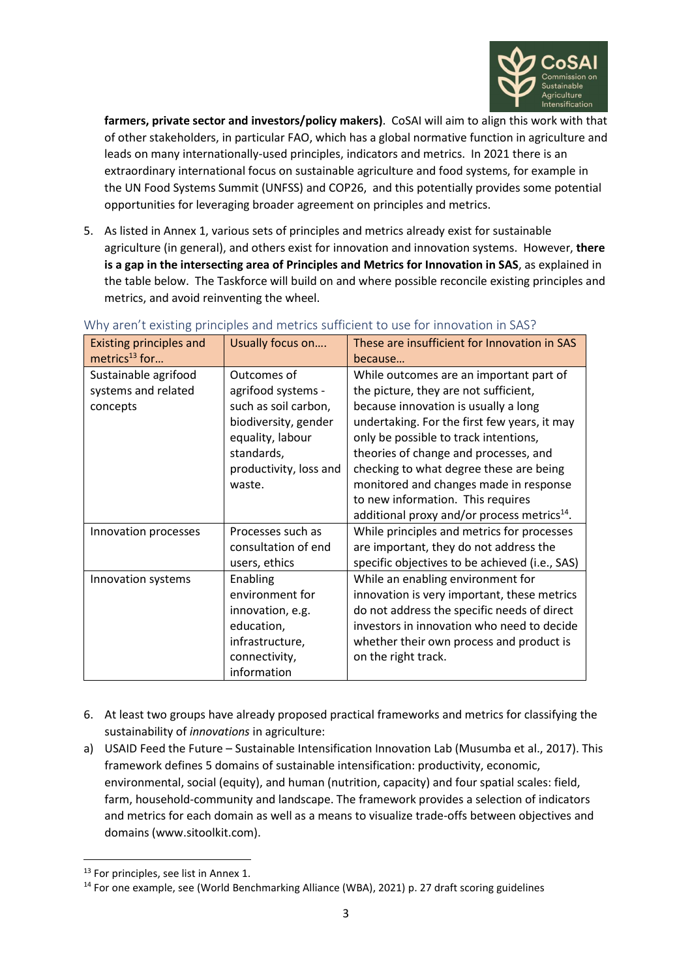

**farmers, private sector and investors/policy makers)**. CoSAI will aim to align this work with that of other stakeholders, in particular FAO, which has a global normative function in agriculture and leads on many internationally-used principles, indicators and metrics. In 2021 there is an extraordinary international focus on sustainable agriculture and food systems, for example in the UN Food Systems Summit (UNFSS) and COP26, and this potentially provides some potential opportunities for leveraging broader agreement on principles and metrics.

5. As listed in Annex 1, various sets of principles and metrics already exist for sustainable agriculture (in general), and others exist for innovation and innovation systems. However, **there is a gap in the intersecting area of Principles and Metrics for Innovation in SAS**, as explained in the table below. The Taskforce will build on and where possible reconcile existing principles and metrics, and avoid reinventing the wheel.

| <b>Existing principles and</b><br>metrics $^{13}$ for   | Usually focus on                                                                                                                                        | These are insufficient for Innovation in SAS<br>because                                                                                                                                                                                                                                                                                                                                                                                         |
|---------------------------------------------------------|---------------------------------------------------------------------------------------------------------------------------------------------------------|-------------------------------------------------------------------------------------------------------------------------------------------------------------------------------------------------------------------------------------------------------------------------------------------------------------------------------------------------------------------------------------------------------------------------------------------------|
| Sustainable agrifood<br>systems and related<br>concepts | Outcomes of<br>agrifood systems -<br>such as soil carbon,<br>biodiversity, gender<br>equality, labour<br>standards,<br>productivity, loss and<br>waste. | While outcomes are an important part of<br>the picture, they are not sufficient,<br>because innovation is usually a long<br>undertaking. For the first few years, it may<br>only be possible to track intentions,<br>theories of change and processes, and<br>checking to what degree these are being<br>monitored and changes made in response<br>to new information. This requires<br>additional proxy and/or process metrics <sup>14</sup> . |
| Innovation processes                                    | Processes such as<br>consultation of end<br>users, ethics                                                                                               | While principles and metrics for processes<br>are important, they do not address the<br>specific objectives to be achieved (i.e., SAS)                                                                                                                                                                                                                                                                                                          |
| Innovation systems                                      | Enabling<br>environment for<br>innovation, e.g.<br>education,<br>infrastructure,<br>connectivity,<br>information                                        | While an enabling environment for<br>innovation is very important, these metrics<br>do not address the specific needs of direct<br>investors in innovation who need to decide<br>whether their own process and product is<br>on the right track.                                                                                                                                                                                                |

#### Why aren't existing principles and metrics sufficient to use for innovation in SAS?

- 6. At least two groups have already proposed practical frameworks and metrics for classifying the sustainability of *innovations* in agriculture:
- a) USAID Feed the Future Sustainable Intensification Innovation Lab (Musumba et al., 2017). This framework defines 5 domains of sustainable intensification: productivity, economic, environmental, social (equity), and human (nutrition, capacity) and four spatial scales: field, farm, household-community and landscape. The framework provides a selection of indicators and metrics for each domain as well as a means to visualize trade-offs between objectives and domains (www.sitoolkit.com).

<sup>&</sup>lt;sup>13</sup> For principles, see list in Annex 1.

<sup>&</sup>lt;sup>14</sup> For one example, see (World Benchmarking Alliance (WBA), 2021) p. 27 draft scoring guidelines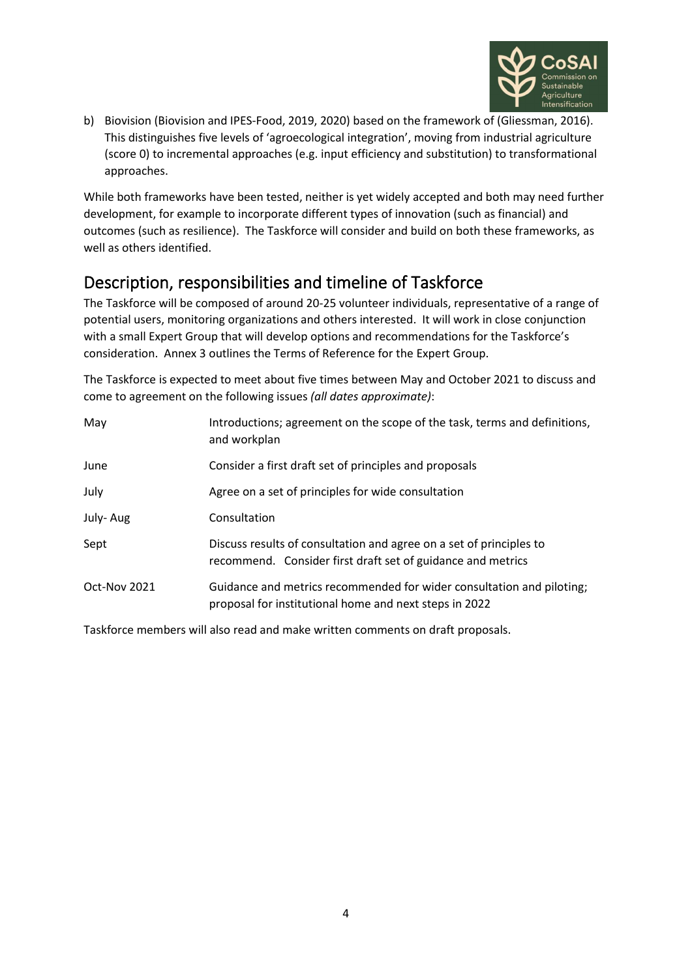

b) Biovision (Biovision and IPES-Food, 2019, 2020) based on the framework of (Gliessman, 2016). This distinguishes five levels of 'agroecological integration', moving from industrial agriculture (score 0) to incremental approaches (e.g. input efficiency and substitution) to transformational approaches.

While both frameworks have been tested, neither is yet widely accepted and both may need further development, for example to incorporate different types of innovation (such as financial) and outcomes (such as resilience). The Taskforce will consider and build on both these frameworks, as well as others identified.

#### Description, responsibilities and timeline of Taskforce

The Taskforce will be composed of around 20-25 volunteer individuals, representative of a range of potential users, monitoring organizations and others interested. It will work in close conjunction with a small Expert Group that will develop options and recommendations for the Taskforce's consideration. Annex 3 outlines the Terms of Reference for the Expert Group.

The Taskforce is expected to meet about five times between May and October 2021 to discuss and come to agreement on the following issues *(all dates approximate)*:

| May          | Introductions; agreement on the scope of the task, terms and definitions,<br>and workplan                                          |
|--------------|------------------------------------------------------------------------------------------------------------------------------------|
| June         | Consider a first draft set of principles and proposals                                                                             |
| July         | Agree on a set of principles for wide consultation                                                                                 |
| July-Aug     | Consultation                                                                                                                       |
| Sept         | Discuss results of consultation and agree on a set of principles to<br>recommend. Consider first draft set of guidance and metrics |
| Oct-Nov 2021 | Guidance and metrics recommended for wider consultation and piloting;<br>proposal for institutional home and next steps in 2022    |

Taskforce members will also read and make written comments on draft proposals.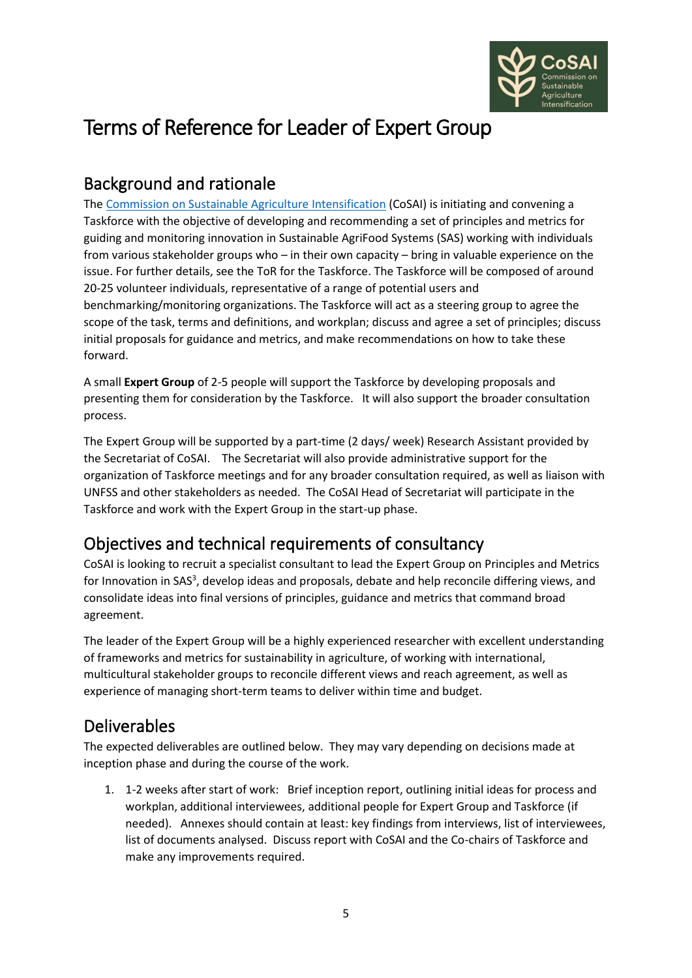

# Terms of Reference for Leader of Expert Group

#### Background and rationale

The [Commission on Sustainable Agriculture Intensification](https://wle.cgiar.org/cosai/) (CoSAI) is initiating and convening a Taskforce with the objective of developing and recommending a set of principles and metrics for guiding and monitoring innovation in Sustainable AgriFood Systems (SAS) working with individuals from various stakeholder groups who – in their own capacity – bring in valuable experience on the issue. For further details, see the ToR for the Taskforce. The Taskforce will be composed of around 20-25 volunteer individuals, representative of a range of potential users and benchmarking/monitoring organizations. The Taskforce will act as a steering group to agree the scope of the task, terms and definitions, and workplan; discuss and agree a set of principles; discuss initial proposals for guidance and metrics, and make recommendations on how to take these forward.

A small **Expert Group** of 2-5 people will support the Taskforce by developing proposals and presenting them for consideration by the Taskforce. It will also support the broader consultation process.

The Expert Group will be supported by a part-time (2 days/ week) Research Assistant provided by the Secretariat of CoSAI. The Secretariat will also provide administrative support for the organization of Taskforce meetings and for any broader consultation required, as well as liaison with UNFSS and other stakeholders as needed. The CoSAI Head of Secretariat will participate in the Taskforce and work with the Expert Group in the start-up phase.

## Objectives and technical requirements of consultancy

CoSAI is looking to recruit a specialist consultant to lead the Expert Group on Principles and Metrics for Innovation in [S](#page-0-1)AS<sup>3</sup>, develop ideas and proposals, debate and help reconcile differing views, and consolidate ideas into final versions of principles, guidance and metrics that command broad agreement.

The leader of the Expert Group will be a highly experienced researcher with excellent understanding of frameworks and metrics for sustainability in agriculture, of working with international, multicultural stakeholder groups to reconcile different views and reach agreement, as well as experience of managing short-term teams to deliver within time and budget.

#### Deliverables

The expected deliverables are outlined below. They may vary depending on decisions made at inception phase and during the course of the work.

1. 1-2 weeks after start of work: Brief inception report, outlining initial ideas for process and workplan, additional interviewees, additional people for Expert Group and Taskforce (if needed). Annexes should contain at least: key findings from interviews, list of interviewees, list of documents analysed. Discuss report with CoSAI and the Co-chairs of Taskforce and make any improvements required.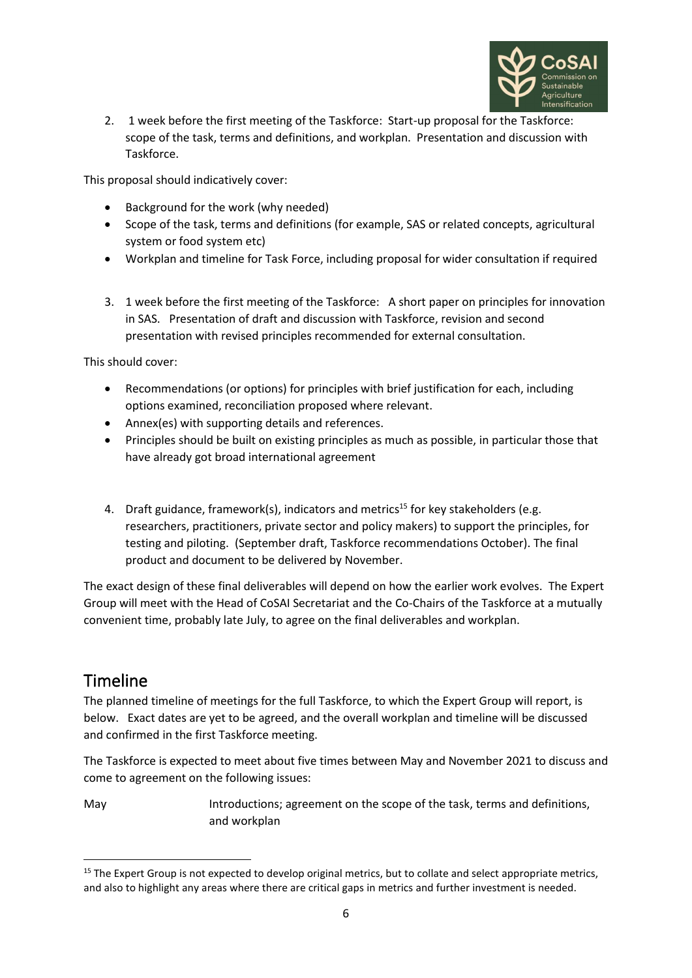

2. 1 week before the first meeting of the Taskforce: Start-up proposal for the Taskforce: scope of the task, terms and definitions, and workplan. Presentation and discussion with Taskforce.

This proposal should indicatively cover:

- Background for the work (why needed)
- Scope of the task, terms and definitions (for example, SAS or related concepts, agricultural system or food system etc)
- Workplan and timeline for Task Force, including proposal for wider consultation if required
- 3. 1 week before the first meeting of the Taskforce: A short paper on principles for innovation in SAS. Presentation of draft and discussion with Taskforce, revision and second presentation with revised principles recommended for external consultation.

This should cover:

- Recommendations (or options) for principles with brief justification for each, including options examined, reconciliation proposed where relevant.
- Annex(es) with supporting details and references.
- Principles should be built on existing principles as much as possible, in particular those that have already got broad international agreement
- 4. Draft guidance, framework(s), indicators and metrics<sup>15</sup> for key stakeholders (e.g. researchers, practitioners, private sector and policy makers) to support the principles, for testing and piloting. (September draft, Taskforce recommendations October). The final product and document to be delivered by November.

The exact design of these final deliverables will depend on how the earlier work evolves. The Expert Group will meet with the Head of CoSAI Secretariat and the Co-Chairs of the Taskforce at a mutually convenient time, probably late July, to agree on the final deliverables and workplan.

#### Timeline

The planned timeline of meetings for the full Taskforce, to which the Expert Group will report, is below. Exact dates are yet to be agreed, and the overall workplan and timeline will be discussed and confirmed in the first Taskforce meeting.

The Taskforce is expected to meet about five times between May and November 2021 to discuss and come to agreement on the following issues:

May **Introductions**; agreement on the scope of the task, terms and definitions, and workplan

<sup>&</sup>lt;sup>15</sup> The Expert Group is not expected to develop original metrics, but to collate and select appropriate metrics, and also to highlight any areas where there are critical gaps in metrics and further investment is needed.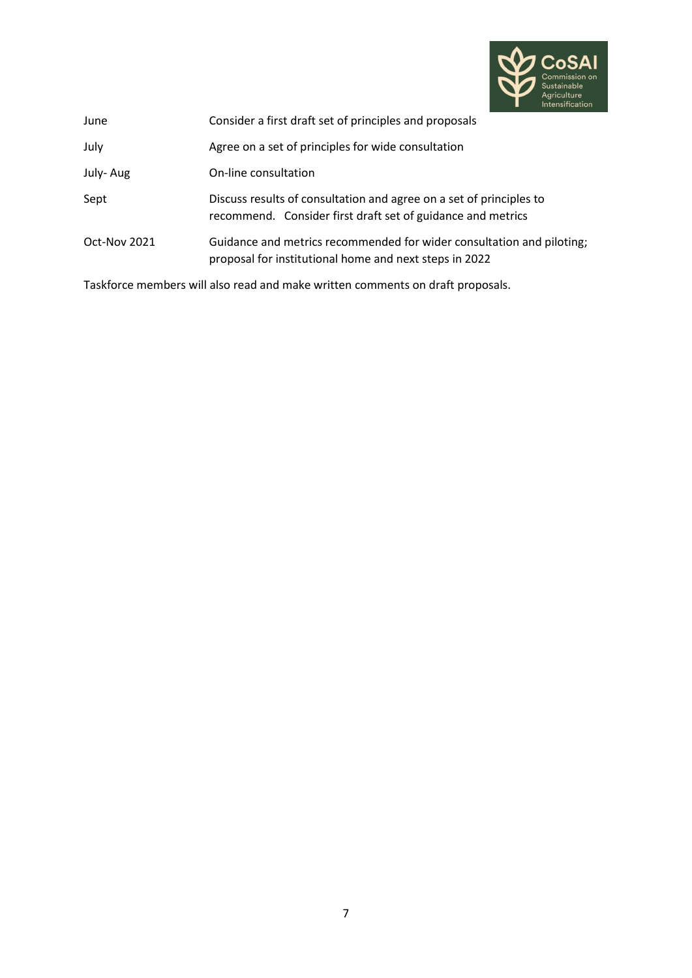

| June         | Consider a first draft set of principles and proposals                                                                             |
|--------------|------------------------------------------------------------------------------------------------------------------------------------|
| July         | Agree on a set of principles for wide consultation                                                                                 |
| July-Aug     | On-line consultation                                                                                                               |
| Sept         | Discuss results of consultation and agree on a set of principles to<br>recommend. Consider first draft set of guidance and metrics |
| Oct-Nov 2021 | Guidance and metrics recommended for wider consultation and piloting;<br>proposal for institutional home and next steps in 2022    |

Taskforce members will also read and make written comments on draft proposals.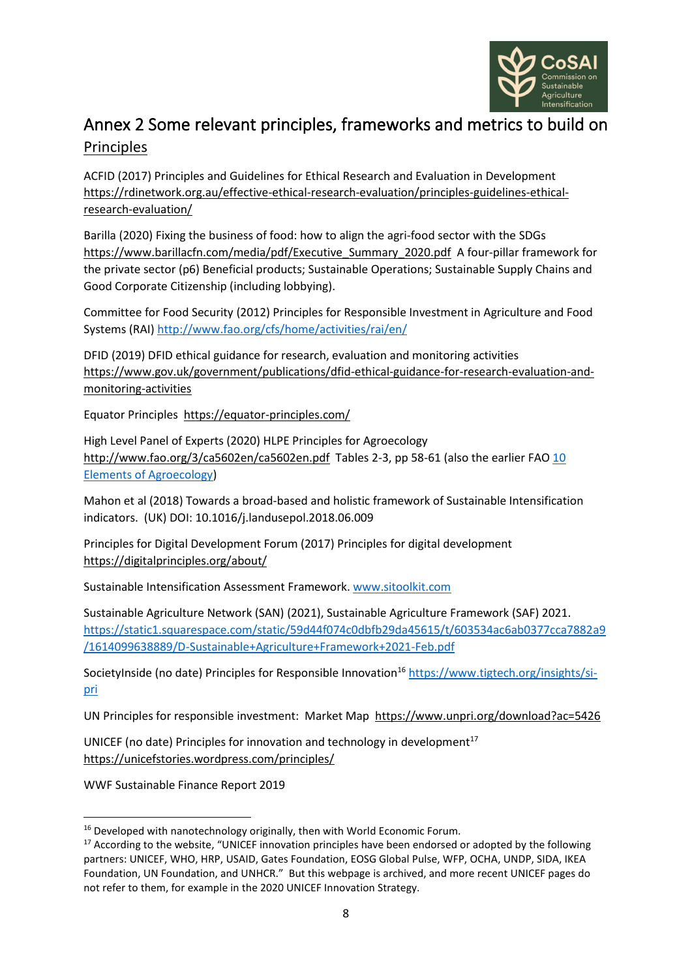

#### Annex 2 Some relevant principles, frameworks and metrics to build on Principles

ACFID (2017) Principles and Guidelines for Ethical Research and Evaluation in Development [https://rdinetwork.org.au/effective-ethical-research-evaluation/principles-guidelines-ethical](https://rdinetwork.org.au/effective-ethical-research-evaluation/principles-guidelines-ethical-research-evaluation/)[research-evaluation/](https://rdinetwork.org.au/effective-ethical-research-evaluation/principles-guidelines-ethical-research-evaluation/)

Barilla (2020) Fixing the business of food: how to align the agri-food sector with the SDGs [https://www.barillacfn.com/media/pdf/Executive\\_Summary\\_2020.pdf](https://www.barillacfn.com/media/pdf/Executive_Summary_2020.pdf) A four-pillar framework for the private sector (p6) Beneficial products; Sustainable Operations; Sustainable Supply Chains and Good Corporate Citizenship (including lobbying).

Committee for Food Security (2012) Principles for Responsible Investment in Agriculture and Food Systems (RAI)<http://www.fao.org/cfs/home/activities/rai/en/>

DFID (2019) DFID ethical guidance for research, evaluation and monitoring activities [https://www.gov.uk/government/publications/dfid-ethical-guidance-for-research-evaluation-and](https://www.gov.uk/government/publications/dfid-ethical-guidance-for-research-evaluation-and-monitoring-activities)[monitoring-activities](https://www.gov.uk/government/publications/dfid-ethical-guidance-for-research-evaluation-and-monitoring-activities)

Equator Principles [https://equator-principles.com/](about:blank) 

High Level Panel of Experts (2020) HLPE Principles for Agroecology <http://www.fao.org/3/ca5602en/ca5602en.pdf> Tables 2-3, pp 58-61 (also the earlier FAO 10 Elements [of Agroecology\)](http://www.fao.org/documents/card/en/c/I9037EN)

Mahon et al (2018) Towards a broad-based and holistic framework of Sustainable Intensification indicators. (UK) DOI: 10.1016/j.landusepol.2018.06.009

Principles for Digital Development Forum (2017) Principles for digital development <https://digitalprinciples.org/about/>

Sustainable Intensification Assessment Framework. [www.sitoolkit.com](http://www.sitoolkit.com/)

Sustainable Agriculture Network (SAN) (2021), Sustainable Agriculture Framework (SAF) 2021. [https://static1.squarespace.com/static/59d44f074c0dbfb29da45615/t/603534ac6ab0377cca7882a9](https://static1.squarespace.com/static/59d44f074c0dbfb29da45615/t/603534ac6ab0377cca7882a9/1614099638889/D-Sustainable+Agriculture+Framework+2021-Feb.pdf) [/1614099638889/D-Sustainable+Agriculture+Framework+2021-Feb.pdf](https://static1.squarespace.com/static/59d44f074c0dbfb29da45615/t/603534ac6ab0377cca7882a9/1614099638889/D-Sustainable+Agriculture+Framework+2021-Feb.pdf)

SocietyInside (no date) Principles for Responsible Innovation<sup>16</sup> [https://www.tigtech.org/insights/si](https://www.tigtech.org/insights/si-pri)[pri](https://www.tigtech.org/insights/si-pri)

UN Principles for responsible investment: Market Map<https://www.unpri.org/download?ac=5426>

UNICEF (no date) Principles for innovation and technology in development $17$ <https://unicefstories.wordpress.com/principles/>

WWF Sustainable Finance Report 2019

<sup>&</sup>lt;sup>16</sup> Developed with nanotechnology originally, then with World Economic Forum.

<sup>&</sup>lt;sup>17</sup> According to the website, "UNICEF innovation principles have been endorsed or adopted by the following partners: UNICEF, WHO, HRP, USAID, Gates Foundation, EOSG Global Pulse, WFP, OCHA, UNDP, SIDA, IKEA Foundation, UN Foundation, and UNHCR." But this webpage is archived, and more recent UNICEF pages do not refer to them, for example in the 2020 UNICEF Innovation Strategy.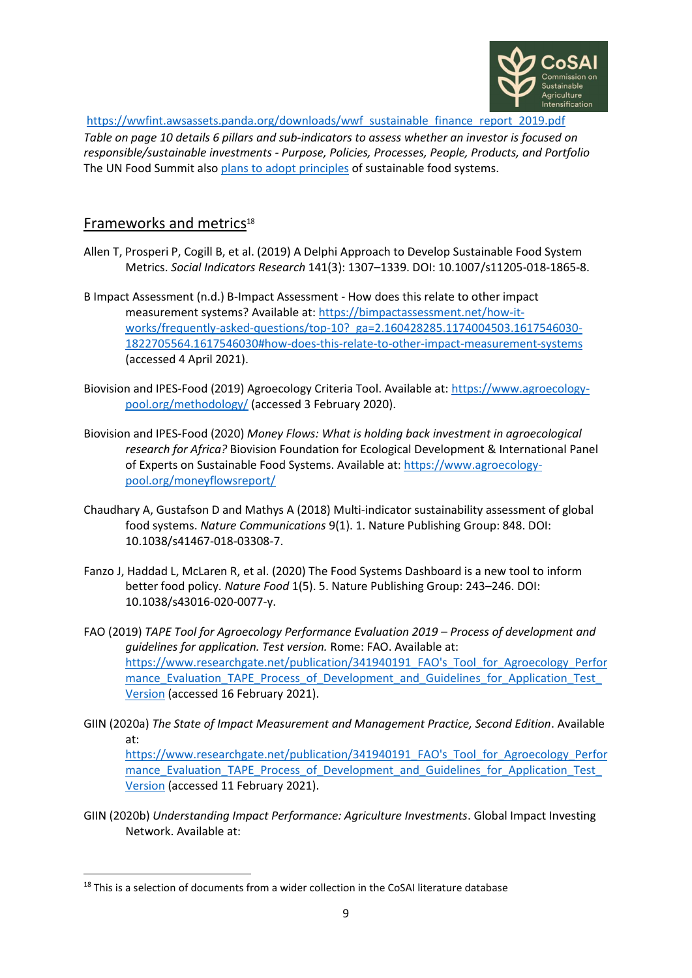

[https://wwfint.awsassets.panda.org/downloads/wwf\\_sustainable\\_finance\\_report\\_2019.pdf](https://wwfint.awsassets.panda.org/downloads/wwf_sustainable_finance_report_2019.pdf)

*Table on page 10 details 6 pillars and sub-indicators to assess whether an investor is focused on responsible/sustainable investments - Purpose, Policies, Processes, People, Products, and Portfolio*  The UN Food Summit also [plans to adopt principles](https://www.un.org/en/food-systems-summit/vision-principles) of sustainable food systems.

#### Frameworks and metrics<sup>18</sup>

- Allen T, Prosperi P, Cogill B, et al. (2019) A Delphi Approach to Develop Sustainable Food System Metrics. *Social Indicators Research* 141(3): 1307–1339. DOI: 10.1007/s11205-018-1865-8.
- B Impact Assessment (n.d.) B-Impact Assessment How does this relate to other impact measurement systems? Available at: [https://bimpactassessment.net/how-it](https://bimpactassessment.net/how-it-works/frequently-asked-questions/top-10?_ga=2.160428285.1174004503.1617546030-1822705564.1617546030#how-does-this-relate-to-other-impact-measurement-systems)[works/frequently-asked-questions/top-10?\\_ga=2.160428285.1174004503.1617546030-](https://bimpactassessment.net/how-it-works/frequently-asked-questions/top-10?_ga=2.160428285.1174004503.1617546030-1822705564.1617546030#how-does-this-relate-to-other-impact-measurement-systems) [1822705564.1617546030#how-does-this-relate-to-other-impact-measurement-systems](https://bimpactassessment.net/how-it-works/frequently-asked-questions/top-10?_ga=2.160428285.1174004503.1617546030-1822705564.1617546030#how-does-this-relate-to-other-impact-measurement-systems) (accessed 4 April 2021).
- Biovision and IPES-Food (2019) Agroecology Criteria Tool. Available at[: https://www.agroecology](https://www.agroecology-pool.org/methodology/)[pool.org/methodology/](https://www.agroecology-pool.org/methodology/) (accessed 3 February 2020).
- Biovision and IPES-Food (2020) *Money Flows: What is holding back investment in agroecological research for Africa?* Biovision Foundation for Ecological Development & International Panel of Experts on Sustainable Food Systems. Available at[: https://www.agroecology](https://www.agroecology-pool.org/moneyflowsreport/)[pool.org/moneyflowsreport/](https://www.agroecology-pool.org/moneyflowsreport/)
- Chaudhary A, Gustafson D and Mathys A (2018) Multi-indicator sustainability assessment of global food systems. *Nature Communications* 9(1). 1. Nature Publishing Group: 848. DOI: 10.1038/s41467-018-03308-7.
- Fanzo J, Haddad L, McLaren R, et al. (2020) The Food Systems Dashboard is a new tool to inform better food policy. *Nature Food* 1(5). 5. Nature Publishing Group: 243–246. DOI: 10.1038/s43016-020-0077-y.
- FAO (2019) *TAPE Tool for Agroecology Performance Evaluation 2019 – Process of development and guidelines for application. Test version.* Rome: FAO. Available at: [https://www.researchgate.net/publication/341940191\\_FAO's\\_Tool\\_for\\_Agroecology\\_Perfor](https://www.researchgate.net/publication/341940191_FAO) mance\_Evaluation\_TAPE\_Process\_of\_Development\_and\_Guidelines\_for\_Application\_Test [Version](https://www.researchgate.net/publication/341940191_FAO) (accessed 16 February 2021).
- GIIN (2020a) *The State of Impact Measurement and Management Practice, Second Edition*. Available at:

[https://www.researchgate.net/publication/341940191\\_FAO's\\_Tool\\_for\\_Agroecology\\_Perfor](https://www.researchgate.net/publication/341940191_FAO) mance Evaluation TAPE Process of Development and Guidelines for Application Test [Version](https://www.researchgate.net/publication/341940191_FAO) (accessed 11 February 2021).

GIIN (2020b) *Understanding Impact Performance: Agriculture Investments*. Global Impact Investing Network. Available at:

 $18$  This is a selection of documents from a wider collection in the CoSAI literature database